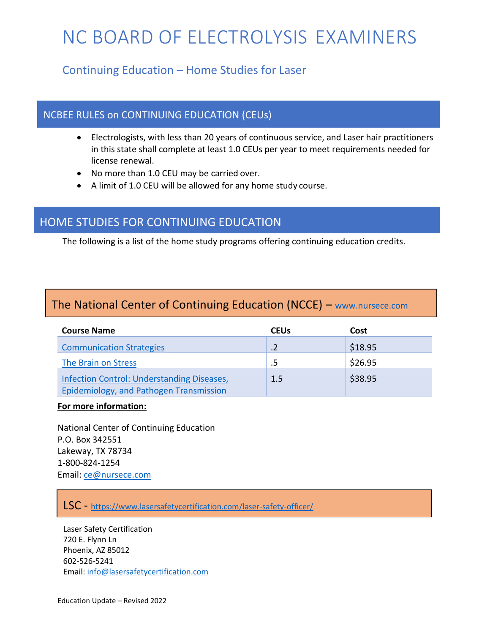# NC BOARD OF ELECTROLYSIS EXAMINERS

# Continuing Education – Home Studies for Laser

#### NCBEE RULES on CONTINUING EDUCATION (CEUs)

- Electrologists, with less than 20 years of continuous service, and Laser hair practitioners in this state shall complete at least 1.0 CEUs per year to meet requirements needed for license renewal.
- No more than 1.0 CEU may be carried over.
- A limit of 1.0 CEU will be allowed for any home study course.

### HOME STUDIES FOR CONTINUING EDUCATION

The following is a list of the home study programs offering continuing education credits.

# The National Center of Continuing Education (NCCE) – [www.nursece.com](http://www.nursece.com/)

| <b>Course Name</b>                                                                           | <b>CEUs</b> | Cost    |
|----------------------------------------------------------------------------------------------|-------------|---------|
| <b>Communication Strategies</b>                                                              |             | \$18.95 |
| The Brain on Stress                                                                          |             | \$26.95 |
| Infection Control: Understanding Diseases,<br><b>Epidemiology, and Pathogen Transmission</b> | 1.5         | \$38.95 |

#### **For more information:**

National Center of Continuing Education P.O. Box 342551 Lakeway, TX 78734 1-800-824-1254 Email: [ce@nursece.com](mailto:ce@nursece.com)

#### LSC - <https://www.lasersafetycertification.com/laser-safety-officer/>

Laser Safety Certification 720 E. Flynn Ln Phoenix, AZ 85012 602-526-5241 Email: [info@lasersafetycertification.com](mailto:info@lasersafetycertification.com)